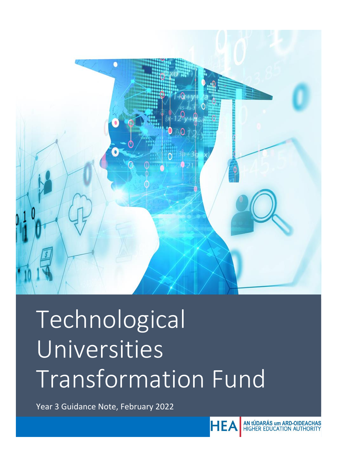

# Technological Universities Transformation Fund

Year 3 Guidance Note, February 2022

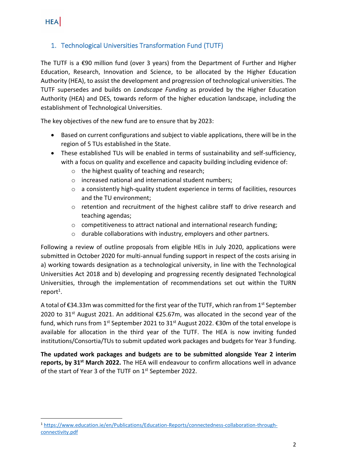## 1. Technological Universities Transformation Fund (TUTF)

The TUTF is a €90 million fund (over 3 years) from the Department of Further and Higher Education, Research, Innovation and Science, to be allocated by the Higher Education Authority (HEA), to assist the development and progression of technological universities. The TUTF supersedes and builds on *Landscape Funding* as provided by the Higher Education Authority (HEA) and DES, towards reform of the higher education landscape, including the establishment of Technological Universities.

The key objectives of the new fund are to ensure that by 2023:

- Based on current configurations and subject to viable applications, there will be in the region of 5 TUs established in the State.
- These established TUs will be enabled in terms of sustainability and self-sufficiency, with a focus on quality and excellence and capacity building including evidence of:
	- o the highest quality of teaching and research;
	- o increased national and international student numbers;
	- o a consistently high-quality student experience in terms of facilities, resources and the TU environment;
	- o retention and recruitment of the highest calibre staff to drive research and teaching agendas;
	- o competitiveness to attract national and international research funding;
	- o durable collaborations with industry, employers and other partners.

Following a review of outline proposals from eligible HEIs in July 2020, applications were submitted in October 2020 for multi-annual funding support in respect of the costs arising in a) working towards designation as a technological university, in line with the Technological Universities Act 2018 and b) developing and progressing recently designated Technological Universities, through the implementation of recommendations set out within the TURN  $report<sup>1</sup>$ .

A total of  $\epsilon$ 34.33m was committed for the first year of the TUTF, which ran from 1<sup>st</sup> September 2020 to 31<sup>st</sup> August 2021. An additional  $\epsilon$ 25.67m, was allocated in the second year of the fund, which runs from 1<sup>st</sup> September 2021 to 31<sup>st</sup> August 2022.  $\epsilon$ 30m of the total envelope is available for allocation in the third year of the TUTF. The HEA is now inviting funded institutions/Consortia/TUs to submit updated work packages and budgets for Year 3 funding.

**The updated work packages and budgets are to be submitted alongside Year 2 interim reports, by 31st March 2022.** The HEA will endeavour to confirm allocations well in advance of the start of Year 3 of the TUTF on 1st September 2022.

<sup>1</sup> [https://www.education.ie/en/Publications/Education-Reports/connectedness-collaboration-through](https://www.education.ie/en/Publications/Education-Reports/connectedness-collaboration-through-connectivity.pdf)[connectivity.pdf](https://www.education.ie/en/Publications/Education-Reports/connectedness-collaboration-through-connectivity.pdf)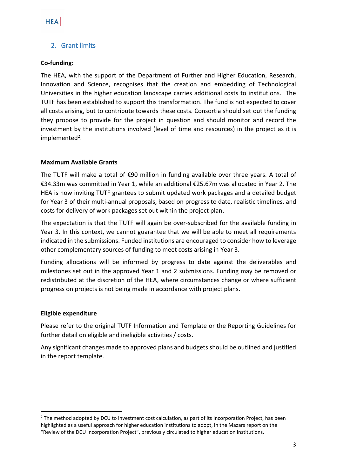## 2. Grant limits

#### **Co-funding:**

The HEA, with the support of the Department of Further and Higher Education, Research, Innovation and Science, recognises that the creation and embedding of Technological Universities in the higher education landscape carries additional costs to institutions. The TUTF has been established to support this transformation. The fund is not expected to cover all costs arising, but to contribute towards these costs. Consortia should set out the funding they propose to provide for the project in question and should monitor and record the investment by the institutions involved (level of time and resources) in the project as it is implemented<sup>2</sup>.

#### **Maximum Available Grants**

The TUTF will make a total of €90 million in funding available over three years. A total of €34.33m was committed in Year 1, while an additional €25.67m was allocated in Year 2. The HEA is now inviting TUTF grantees to submit updated work packages and a detailed budget for Year 3 of their multi-annual proposals, based on progress to date, realistic timelines, and costs for delivery of work packages set out within the project plan.

The expectation is that the TUTF will again be over-subscribed for the available funding in Year 3. In this context, we cannot guarantee that we will be able to meet all requirements indicated in the submissions. Funded institutions are encouraged to consider how to leverage other complementary sources of funding to meet costs arising in Year 3.

Funding allocations will be informed by progress to date against the deliverables and milestones set out in the approved Year 1 and 2 submissions. Funding may be removed or redistributed at the discretion of the HEA, where circumstances change or where sufficient progress on projects is not being made in accordance with project plans.

#### **Eligible expenditure**

Please refer to the original TUTF Information and Template or the Reporting Guidelines for further detail on eligible and ineligible activities / costs.

Any significant changes made to approved plans and budgets should be outlined and justified in the report template.

 $<sup>2</sup>$  The method adopted by DCU to investment cost calculation, as part of its Incorporation Project, has been</sup> highlighted as a useful approach for higher education institutions to adopt, in the Mazars report on the "Review of the DCU Incorporation Project", previously circulated to higher education institutions.